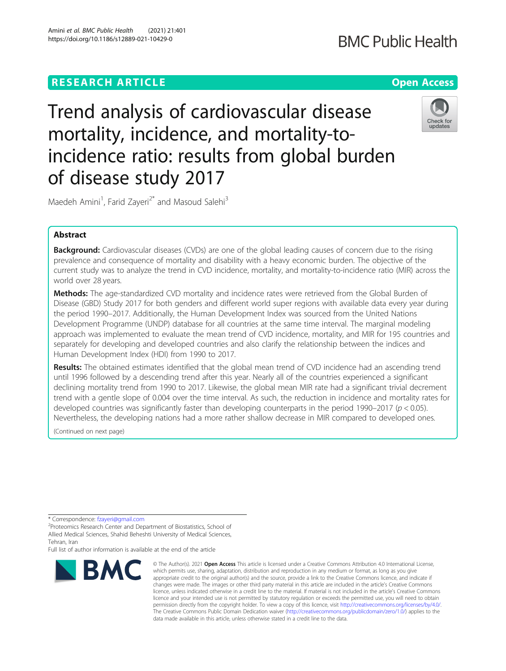Amini et al. BMC Public Health (2021) 21:401 https://doi.org/10.1186/s12889-021-10429-0

Trend analysis of cardiovascular disease mortality, incidence, and mortality-toincidence ratio: results from global burden of disease study 2017



Check for updates

Maedeh Amini<sup>1</sup>, Farid Zayeri<sup>2\*</sup> and Masoud Salehi<sup>3</sup>

# Abstract

**Background:** Cardiovascular diseases (CVDs) are one of the global leading causes of concern due to the rising prevalence and consequence of mortality and disability with a heavy economic burden. The objective of the current study was to analyze the trend in CVD incidence, mortality, and mortality-to-incidence ratio (MIR) across the world over 28 years.

**Methods:** The age-standardized CVD mortality and incidence rates were retrieved from the Global Burden of Disease (GBD) Study 2017 for both genders and different world super regions with available data every year during the period 1990–2017. Additionally, the Human Development Index was sourced from the United Nations Development Programme (UNDP) database for all countries at the same time interval. The marginal modeling approach was implemented to evaluate the mean trend of CVD incidence, mortality, and MIR for 195 countries and separately for developing and developed countries and also clarify the relationship between the indices and Human Development Index (HDI) from 1990 to 2017.

Results: The obtained estimates identified that the global mean trend of CVD incidence had an ascending trend until 1996 followed by a descending trend after this year. Nearly all of the countries experienced a significant declining mortality trend from 1990 to 2017. Likewise, the global mean MIR rate had a significant trivial decrement trend with a gentle slope of 0.004 over the time interval. As such, the reduction in incidence and mortality rates for developed countries was significantly faster than developing counterparts in the period 1990–2017 ( $p < 0.05$ ). Nevertheless, the developing nations had a more rather shallow decrease in MIR compared to developed ones.

(Continued on next page)

<sup>2</sup>Proteomics Research Center and Department of Biostatistics, School of Allied Medical Sciences, Shahid Beheshti University of Medical Sciences, Tehran, Iran

Full list of author information is available at the end of the article



<sup>©</sup> The Author(s), 2021 **Open Access** This article is licensed under a Creative Commons Attribution 4.0 International License, which permits use, sharing, adaptation, distribution and reproduction in any medium or format, as long as you give appropriate credit to the original author(s) and the source, provide a link to the Creative Commons licence, and indicate if changes were made. The images or other third party material in this article are included in the article's Creative Commons licence, unless indicated otherwise in a credit line to the material. If material is not included in the article's Creative Commons licence and your intended use is not permitted by statutory regulation or exceeds the permitted use, you will need to obtain permission directly from the copyright holder. To view a copy of this licence, visit [http://creativecommons.org/licenses/by/4.0/.](http://creativecommons.org/licenses/by/4.0/) The Creative Commons Public Domain Dedication waiver [\(http://creativecommons.org/publicdomain/zero/1.0/](http://creativecommons.org/publicdomain/zero/1.0/)) applies to the data made available in this article, unless otherwise stated in a credit line to the data.

<sup>\*</sup> Correspondence: [fzayeri@gmail.com](mailto:fzayeri@gmail.com) <sup>2</sup>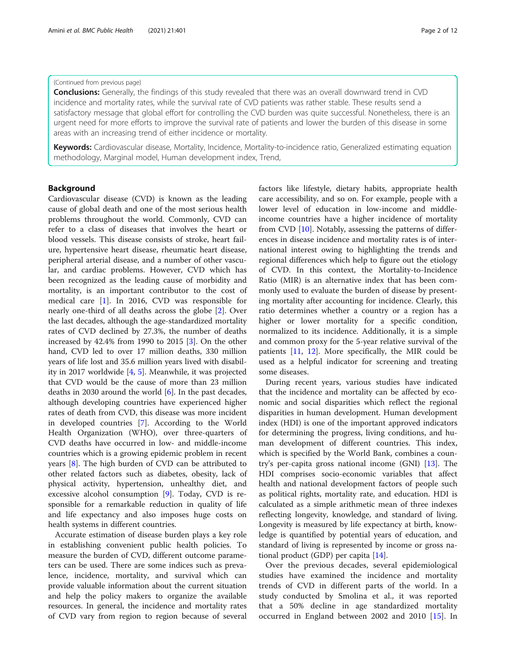### (Continued from previous page)

**Conclusions:** Generally, the findings of this study revealed that there was an overall downward trend in CVD incidence and mortality rates, while the survival rate of CVD patients was rather stable. These results send a satisfactory message that global effort for controlling the CVD burden was quite successful. Nonetheless, there is an urgent need for more efforts to improve the survival rate of patients and lower the burden of this disease in some areas with an increasing trend of either incidence or mortality.

Keywords: Cardiovascular disease, Mortality, Incidence, Mortality-to-incidence ratio, Generalized estimating equation methodology, Marginal model, Human development index, Trend,

## Background

Cardiovascular disease (CVD) is known as the leading cause of global death and one of the most serious health problems throughout the world. Commonly, CVD can refer to a class of diseases that involves the heart or blood vessels. This disease consists of stroke, heart failure, hypertensive heart disease, rheumatic heart disease, peripheral arterial disease, and a number of other vascular, and cardiac problems. However, CVD which has been recognized as the leading cause of morbidity and mortality, is an important contributor to the cost of medical care [\[1](#page-10-0)]. In 2016, CVD was responsible for nearly one-third of all deaths across the globe [\[2](#page-10-0)]. Over the last decades, although the age-standardized mortality rates of CVD declined by 27.3%, the number of deaths increased by 42.4% from 1990 to 2015 [\[3](#page-10-0)]. On the other hand, CVD led to over 17 million deaths, 330 million years of life lost and 35.6 million years lived with disability in 2017 worldwide [\[4](#page-10-0), [5](#page-10-0)]. Meanwhile, it was projected that CVD would be the cause of more than 23 million deaths in 2030 around the world [[6\]](#page-10-0). In the past decades, although developing countries have experienced higher rates of death from CVD, this disease was more incident in developed countries [\[7](#page-10-0)]. According to the World Health Organization (WHO), over three-quarters of CVD deaths have occurred in low- and middle-income countries which is a growing epidemic problem in recent years [\[8](#page-10-0)]. The high burden of CVD can be attributed to other related factors such as diabetes, obesity, lack of physical activity, hypertension, unhealthy diet, and excessive alcohol consumption [[9](#page-10-0)]. Today, CVD is responsible for a remarkable reduction in quality of life and life expectancy and also imposes huge costs on health systems in different countries.

Accurate estimation of disease burden plays a key role in establishing convenient public health policies. To measure the burden of CVD, different outcome parameters can be used. There are some indices such as prevalence, incidence, mortality, and survival which can provide valuable information about the current situation and help the policy makers to organize the available resources. In general, the incidence and mortality rates of CVD vary from region to region because of several factors like lifestyle, dietary habits, appropriate health care accessibility, and so on. For example, people with a lower level of education in low-income and middleincome countries have a higher incidence of mortality from CVD [[10](#page-10-0)]. Notably, assessing the patterns of differences in disease incidence and mortality rates is of international interest owing to highlighting the trends and regional differences which help to figure out the etiology of CVD. In this context, the Mortality-to-Incidence Ratio (MIR) is an alternative index that has been commonly used to evaluate the burden of disease by presenting mortality after accounting for incidence. Clearly, this ratio determines whether a country or a region has a higher or lower mortality for a specific condition, normalized to its incidence. Additionally, it is a simple and common proxy for the 5-year relative survival of the patients [[11,](#page-10-0) [12\]](#page-10-0). More specifically, the MIR could be used as a helpful indicator for screening and treating some diseases.

During recent years, various studies have indicated that the incidence and mortality can be affected by economic and social disparities which reflect the regional disparities in human development. Human development index (HDI) is one of the important approved indicators for determining the progress, living conditions, and human development of different countries. This index, which is specified by the World Bank, combines a country's per-capita gross national income (GNI) [\[13](#page-10-0)]. The HDI comprises socio-economic variables that affect health and national development factors of people such as political rights, mortality rate, and education. HDI is calculated as a simple arithmetic mean of three indexes reflecting longevity, knowledge, and standard of living. Longevity is measured by life expectancy at birth, knowledge is quantified by potential years of education, and standard of living is represented by income or gross national product (GDP) per capita [[14](#page-10-0)].

Over the previous decades, several epidemiological studies have examined the incidence and mortality trends of CVD in different parts of the world. In a study conducted by Smolina et al., it was reported that a 50% decline in age standardized mortality occurred in England between 2002 and 2010 [[15\]](#page-10-0). In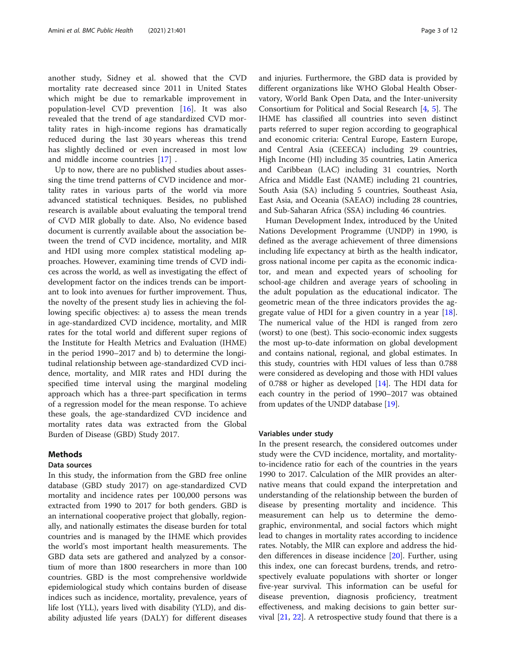another study, Sidney et al. showed that the CVD mortality rate decreased since 2011 in United States which might be due to remarkable improvement in population-level CVD prevention [[16](#page-10-0)]. It was also revealed that the trend of age standardized CVD mortality rates in high-income regions has dramatically reduced during the last 30 years whereas this trend has slightly declined or even increased in most low and middle income countries [[17\]](#page-10-0) .

Up to now, there are no published studies about assessing the time trend patterns of CVD incidence and mortality rates in various parts of the world via more advanced statistical techniques. Besides, no published research is available about evaluating the temporal trend of CVD MIR globally to date. Also, No evidence based document is currently available about the association between the trend of CVD incidence, mortality, and MIR and HDI using more complex statistical modeling approaches. However, examining time trends of CVD indices across the world, as well as investigating the effect of development factor on the indices trends can be important to look into avenues for further improvement. Thus, the novelty of the present study lies in achieving the following specific objectives: a) to assess the mean trends in age-standardized CVD incidence, mortality, and MIR rates for the total world and different super regions of the Institute for Health Metrics and Evaluation (IHME) in the period 1990–2017 and b) to determine the longitudinal relationship between age-standardized CVD incidence, mortality, and MIR rates and HDI during the specified time interval using the marginal modeling approach which has a three-part specification in terms of a regression model for the mean response. To achieve these goals, the age-standardized CVD incidence and mortality rates data was extracted from the Global Burden of Disease (GBD) Study 2017.

# Methods

# Data sources

In this study, the information from the GBD free online database (GBD study 2017) on age-standardized CVD mortality and incidence rates per 100,000 persons was extracted from 1990 to 2017 for both genders. GBD is an international cooperative project that globally, regionally, and nationally estimates the disease burden for total countries and is managed by the IHME which provides the world's most important health measurements. The GBD data sets are gathered and analyzed by a consortium of more than 1800 researchers in more than 100 countries. GBD is the most comprehensive worldwide epidemiological study which contains burden of disease indices such as incidence, mortality, prevalence, years of life lost (YLL), years lived with disability (YLD), and disability adjusted life years (DALY) for different diseases and injuries. Furthermore, the GBD data is provided by different organizations like WHO Global Health Observatory, World Bank Open Data, and the Inter-university Consortium for Political and Social Research [[4,](#page-10-0) [5](#page-10-0)]. The IHME has classified all countries into seven distinct parts referred to super region according to geographical and economic criteria: Central Europe, Eastern Europe, and Central Asia (CEEECA) including 29 countries, High Income (HI) including 35 countries, Latin America and Caribbean (LAC) including 31 countries, North Africa and Middle East (NAME) including 21 countries, South Asia (SA) including 5 countries, Southeast Asia, East Asia, and Oceania (SAEAO) including 28 countries, and Sub-Saharan Africa (SSA) including 46 countries.

Human Development Index, introduced by the United Nations Development Programme (UNDP) in 1990, is defined as the average achievement of three dimensions including life expectancy at birth as the health indicator, gross national income per capita as the economic indicator, and mean and expected years of schooling for school-age children and average years of schooling in the adult population as the educational indicator. The geometric mean of the three indicators provides the aggregate value of HDI for a given country in a year  $[18]$  $[18]$ . The numerical value of the HDI is ranged from zero (worst) to one (best). This socio-economic index suggests the most up-to-date information on global development and contains national, regional, and global estimates. In this study, countries with HDI values of less than 0.788 were considered as developing and those with HDI values of 0.788 or higher as developed [[14](#page-10-0)]. The HDI data for each country in the period of 1990–2017 was obtained from updates of the UNDP database [[19](#page-10-0)].

# Variables under study

In the present research, the considered outcomes under study were the CVD incidence, mortality, and mortalityto-incidence ratio for each of the countries in the years 1990 to 2017. Calculation of the MIR provides an alternative means that could expand the interpretation and understanding of the relationship between the burden of disease by presenting mortality and incidence. This measurement can help us to determine the demographic, environmental, and social factors which might lead to changes in mortality rates according to incidence rates. Notably, the MIR can explore and address the hidden differences in disease incidence [\[20](#page-10-0)]. Further, using this index, one can forecast burdens, trends, and retrospectively evaluate populations with shorter or longer five-year survival. This information can be useful for disease prevention, diagnosis proficiency, treatment effectiveness, and making decisions to gain better survival [[21](#page-10-0), [22\]](#page-10-0). A retrospective study found that there is a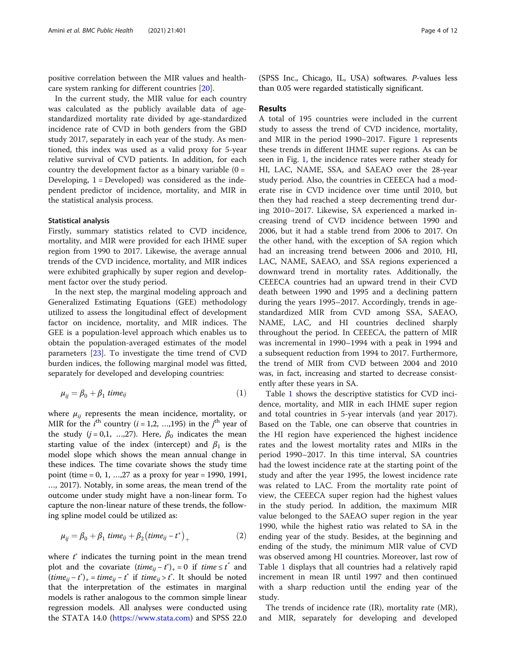positive correlation between the MIR values and healthcare system ranking for different countries [\[20](#page-10-0)].

In the current study, the MIR value for each country was calculated as the publicly available data of agestandardized mortality rate divided by age-standardized incidence rate of CVD in both genders from the GBD study 2017, separately in each year of the study. As mentioned, this index was used as a valid proxy for 5-year relative survival of CVD patients. In addition, for each country the development factor as a binary variable  $(0 =$ Developing, 1 = Developed) was considered as the independent predictor of incidence, mortality, and MIR in the statistical analysis process.

### Statistical analysis

Firstly, summary statistics related to CVD incidence, mortality, and MIR were provided for each IHME super region from 1990 to 2017. Likewise, the average annual trends of the CVD incidence, mortality, and MIR indices were exhibited graphically by super region and development factor over the study period.

In the next step, the marginal modeling approach and Generalized Estimating Equations (GEE) methodology utilized to assess the longitudinal effect of development factor on incidence, mortality, and MIR indices. The GEE is a population-level approach which enables us to obtain the population-averaged estimates of the model parameters [\[23](#page-10-0)]. To investigate the time trend of CVD burden indices, the following marginal model was fitted, separately for developed and developing countries:

$$
\mu_{ij} = \beta_0 + \beta_1 \, \text{time}_{ij} \tag{1}
$$

where  $\mu_{ij}$  represents the mean incidence, mortality, or MIR for the  $i^{\text{th}}$  country ( $i = 1, 2, ..., 195$ ) in the  $j^{\text{th}}$  year of the study  $(j = 0,1, ..., 27)$ . Here,  $\beta_0$  indicates the mean starting value of the index (intercept) and  $\beta_1$  is the model slope which shows the mean annual change in these indices. The time covariate shows the study time point (time = 0, 1, …,27 as a proxy for year = 1990, 1991, …, 2017). Notably, in some areas, the mean trend of the outcome under study might have a non-linear form. To capture the non-linear nature of these trends, the following spline model could be utilized as:

$$
\mu_{ij} = \beta_0 + \beta_1 \, \text{time}_{ij} + \beta_2 \big(\text{time}_{ij} - t^*\big)_+\tag{2}
$$

where  $t^*$  indicates the turning point in the mean trend plot and the covariate  $(time_{ij} - t^*)_+ = 0$  if  $time \leq t^*$  and  $\overline{(time_{ij} - t^*)_{+}} = \text{time}_{ij} - t^*$  if  $\text{time}_{ij} > t^*$ . It should be noted that the interpretation of the estimates in marginal models is rather analogous to the common simple linear regression models. All analyses were conducted using the STATA 14.0 ([https://www.stata.com\)](https://www.stata.com) and SPSS 22.0

(SPSS Inc., Chicago, IL, USA) softwares. P-values less than 0.05 were regarded statistically significant.

### Results

A total of 195 countries were included in the current study to assess the trend of CVD incidence, mortality, and MIR in the period 1990–2017. Figure [1](#page-4-0) represents these trends in different IHME super regions. As can be seen in Fig. [1](#page-4-0), the incidence rates were rather steady for HI, LAC, NAME, SSA, and SAEAO over the 28-year study period. Also, the countries in CEEECA had a moderate rise in CVD incidence over time until 2010, but then they had reached a steep decrementing trend during 2010–2017. Likewise, SA experienced a marked increasing trend of CVD incidence between 1990 and 2006, but it had a stable trend from 2006 to 2017. On the other hand, with the exception of SA region which had an increasing trend between 2006 and 2010, HI, LAC, NAME, SAEAO, and SSA regions experienced a downward trend in mortality rates. Additionally, the CEEECA countries had an upward trend in their CVD death between 1990 and 1995 and a declining pattern during the years 1995–2017. Accordingly, trends in agestandardized MIR from CVD among SSA, SAEAO, NAME, LAC, and HI countries declined sharply throughout the period. In CEEECA, the pattern of MIR was incremental in 1990–1994 with a peak in 1994 and a subsequent reduction from 1994 to 2017. Furthermore, the trend of MIR from CVD between 2004 and 2010 was, in fact, increasing and started to decrease consistently after these years in SA.

Table [1](#page-4-0) shows the descriptive statistics for CVD incidence, mortality, and MIR in each IHME super region and total countries in 5-year intervals (and year 2017). Based on the Table, one can observe that countries in the HI region have experienced the highest incidence rates and the lowest mortality rates and MIRs in the period 1990–2017. In this time interval, SA countries had the lowest incidence rate at the starting point of the study and after the year 1995, the lowest incidence rate was related to LAC. From the mortality rate point of view, the CEEECA super region had the highest values in the study period. In addition, the maximum MIR value belonged to the SAEAO super region in the year 1990, while the highest ratio was related to SA in the ending year of the study. Besides, at the beginning and ending of the study, the minimum MIR value of CVD was observed among HI countries. Moreover, last row of Table [1](#page-4-0) displays that all countries had a relatively rapid increment in mean IR until 1997 and then continued with a sharp reduction until the ending year of the study.

The trends of incidence rate (IR), mortality rate (MR), and MIR, separately for developing and developed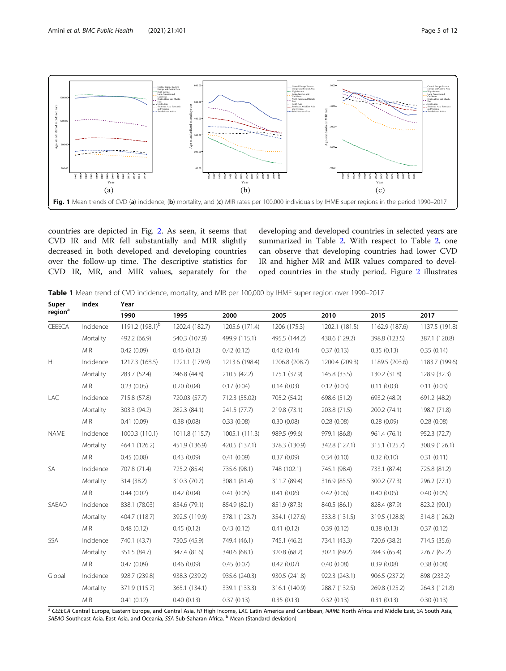<span id="page-4-0"></span>

countries are depicted in Fig. [2](#page-5-0). As seen, it seems that CVD IR and MR fell substantially and MIR slightly decreased in both developed and developing countries over the follow-up time. The descriptive statistics for CVD IR, MR, and MIR values, separately for the developing and developed countries in selected years are summarized in Table [2.](#page-5-0) With respect to Table [2,](#page-5-0) one can observe that developing countries had lower CVD IR and higher MR and MIR values compared to developed countries in the study period. Figure [2](#page-5-0) illustrates

Table 1 Mean trend of CVD incidence, mortality, and MIR per 100,000 by IHME super region over 1990-2017

| Super<br>region <sup>a</sup> | index      | Year                        |                |                |                |                |                |                |  |
|------------------------------|------------|-----------------------------|----------------|----------------|----------------|----------------|----------------|----------------|--|
|                              |            | 1990                        | 1995           | 2000           | 2005           | 2010           | 2015           | 2017           |  |
| CEEECA                       | Incidence  | 1191.2 (198.1) <sup>b</sup> | 1202.4 (182.7) | 1205.6 (171.4) | 1206 (175.3)   | 1202.1 (181.5) | 1162.9 (187.6) | 1137.5 (191.8) |  |
|                              | Mortality  | 492.2 (66.9)                | 540.3 (107.9)  | 499.9 (115.1)  | 495.5 (144.2)  | 438.6 (129.2)  | 398.8 (123.5)  | 387.1 (120.8)  |  |
|                              | <b>MIR</b> | 0.42(0.09)                  | 0.46(0.12)     | 0.42(0.12)     | 0.42(0.14)     | 0.37(0.13)     | 0.35(0.13)     | 0.35(0.14)     |  |
| H                            | Incidence  | 1217.3 (168.5)              | 1221.1 (179.9) | 1213.6 (198.4) | 1206.8 (208.7) | 1200.4 (209.3) | 1189.5 (203.6) | 1183.7 (199.6) |  |
|                              | Mortality  | 283.7 (52.4)                | 246.8 (44.8)   | 210.5 (42.2)   | 175.1 (37.9)   | 145.8 (33.5)   | 130.2 (31.8)   | 128.9 (32.3)   |  |
|                              | <b>MIR</b> | 0.23(0.05)                  | 0.20(0.04)     | 0.17(0.04)     | 0.14(0.03)     | 0.12(0.03)     | 0.11(0.03)     | 0.11(0.03)     |  |
| LAC                          | Incidence  | 715.8 (57.8)                | 720.03 (57.7)  | 712.3 (55.02)  | 705.2 (54.2)   | 698.6 (51.2)   | 693.2 (48.9)   | 691.2 (48.2)   |  |
|                              | Mortality  | 303.3 (94.2)                | 282.3 (84.1)   | 241.5 (77.7)   | 219.8 (73.1)   | 203.8 (71.5)   | 200.2 (74.1)   | 198.7 (71.8)   |  |
|                              | <b>MIR</b> | 0.41(0.09)                  | 0.38(0.08)     | 0.33(0.08)     | 0.30(0.08)     | 0.28(0.08)     | 0.28(0.09)     | 0.28(0.08)     |  |
| <b>NAME</b>                  | Incidence  | 1000.3 (110.1)              | 1011.8 (115.7) | 1005.1 (111.3) | 989.5 (99.6)   | 979.1 (86.8)   | 961.4 (76.1)   | 952.3 (72.7)   |  |
|                              | Mortality  | 464.1 (126.2)               | 451.9 (136.9)  | 420.5 (137.1)  | 378.3 (130.9)  | 342.8 (127.1)  | 315.1 (125.7)  | 308.9 (126.1)  |  |
|                              | <b>MIR</b> | 0.45(0.08)                  | 0.43(0.09)     | 0.41(0.09)     | 0.37(0.09)     | 0.34(0.10)     | 0.32(0.10)     | 0.31(0.11)     |  |
| SA                           | Incidence  | 707.8 (71.4)                | 725.2 (85.4)   | 735.6 (98.1)   | 748 (102.1)    | 745.1 (98.4)   | 733.1 (87.4)   | 725.8 (81.2)   |  |
|                              | Mortality  | 314 (38.2)                  | 310.3 (70.7)   | 308.1 (81.4)   | 311.7 (89.4)   | 316.9 (85.5)   | 300.2 (77.3)   | 296.2 (77.1)   |  |
|                              | <b>MIR</b> | 0.44(0.02)                  | 0.42(0.04)     | 0.41(0.05)     | 0.41(0.06)     | 0.42(0.06)     | 0.40(0.05)     | 0.40(0.05)     |  |
| SAEAO                        | Incidence  | 838.1 (78.03)               | 854.6 (79.1)   | 854.9 (82.1)   | 851.9 (87.3)   | 840.5 (86.1)   | 828.4 (87.9)   | 823.2 (90.1)   |  |
|                              | Mortality  | 404.7 (118.7)               | 392.5 (119.9)  | 378.1 (123.7)  | 354.1 (127.6)  | 333.8 (131.5)  | 319.5 (128.8)  | 314.8 (126.2)  |  |
|                              | <b>MIR</b> | 0.48(0.12)                  | 0.45(0.12)     | 0.43(0.12)     | 0.41(0.12)     | 0.39(0.12)     | 0.38(0.13)     | 0.37(0.12)     |  |
| <b>SSA</b>                   | Incidence  | 740.1 (43.7)                | 750.5 (45.9)   | 749.4 (46.1)   | 745.1 (46.2)   | 734.1 (43.3)   | 720.6 (38.2)   | 714.5 (35.6)   |  |
|                              | Mortality  | 351.5 (84.7)                | 347.4 (81.6)   | 340.6 (68.1)   | 320.8 (68.2)   | 302.1 (69.2)   | 284.3 (65.4)   | 276.7 (62.2)   |  |
|                              | <b>MIR</b> | 0.47(0.09)                  | 0.46(0.09)     | 0.45(0.07)     | 0.42(0.07)     | 0.40(0.08)     | 0.39(0.08)     | 0.38(0.08)     |  |
| Global                       | Incidence  | 928.7 (239.8)               | 938.3 (239.2)  | 935.6 (240.3)  | 930.5 (241.8)  | 922.3 (243.1)  | 906.5 (237.2)  | 898 (233.2)    |  |
|                              | Mortality  | 371.9 (115.7)               | 365.1 (134.1)  | 339.1 (133.3)  | 316.1 (140.9)  | 288.7 (132.5)  | 269.8 (125.2)  | 264.3 (121.8)  |  |
|                              | <b>MIR</b> | 0.41(0.12)                  | 0.40(0.13)     | 0.37(0.13)     | 0.35(0.13)     | 0.32(0.13)     | 0.31(0.13)     | 0.30(0.13)     |  |

a CEEECA Central Europe, Eastern Europe, and Central Asia, HI High Income, LAC Latin America and Caribbean, NAME North Africa and Middle East, SA South Asia, SAEAO Southeast Asia, East Asia, and Oceania, SSA Sub-Saharan Africa. <sup>b</sup> Mean (Standard deviation)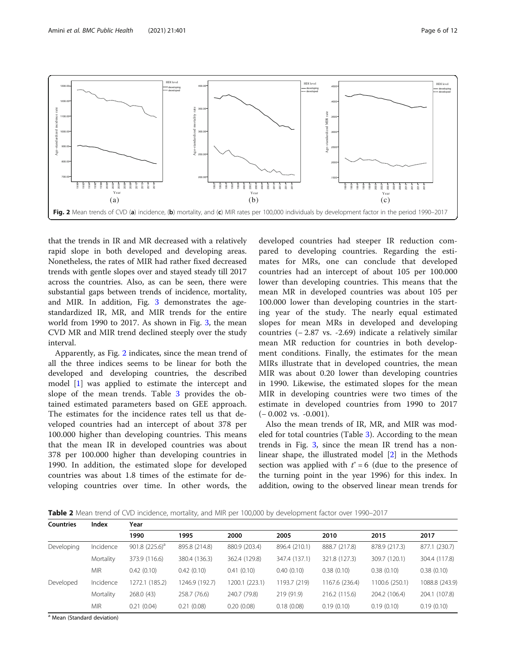<span id="page-5-0"></span>

that the trends in IR and MR decreased with a relatively rapid slope in both developed and developing areas. Nonetheless, the rates of MIR had rather fixed decreased trends with gentle slopes over and stayed steady till 2017 across the countries. Also, as can be seen, there were substantial gaps between trends of incidence, mortality, and MIR. In addition, Fig. [3](#page-6-0) demonstrates the agestandardized IR, MR, and MIR trends for the entire world from 1990 to 2017. As shown in Fig. [3](#page-6-0), the mean CVD MR and MIR trend declined steeply over the study interval.

Apparently, as Fig. 2 indicates, since the mean trend of all the three indices seems to be linear for both the developed and developing countries, the described model [[1\]](#page-10-0) was applied to estimate the intercept and slope of the mean trends. Table [3](#page-7-0) provides the obtained estimated parameters based on GEE approach. The estimates for the incidence rates tell us that developed countries had an intercept of about 378 per 100.000 higher than developing countries. This means that the mean IR in developed countries was about 378 per 100.000 higher than developing countries in 1990. In addition, the estimated slope for developed countries was about 1.8 times of the estimate for developing countries over time. In other words, the

developed countries had steeper IR reduction compared to developing countries. Regarding the estimates for MRs, one can conclude that developed countries had an intercept of about 105 per 100.000 lower than developing countries. This means that the mean MR in developed countries was about 105 per 100.000 lower than developing countries in the starting year of the study. The nearly equal estimated slopes for mean MRs in developed and developing countries (− 2.87 vs. -2.69) indicate a relatively similar mean MR reduction for countries in both development conditions. Finally, the estimates for the mean MIRs illustrate that in developed countries, the mean MIR was about 0.20 lower than developing countries in 1990. Likewise, the estimated slopes for the mean MIR in developing countries were two times of the estimate in developed countries from 1990 to 2017  $(-0.002 \text{ vs. } -0.001).$ 

Also the mean trends of IR, MR, and MIR was modeled for total countries (Table [3](#page-7-0)). According to the mean trends in Fig. [3,](#page-6-0) since the mean IR trend has a nonlinear shape, the illustrated model [\[2](#page-10-0)] in the Methods section was applied with  $t^* = 6$  (due to the presence of the turning point in the year 1996) for this index. In addition, owing to the observed linear mean trends for

Table 2 Mean trend of CVD incidence, mortality, and MIR per 100,000 by development factor over 1990–2017

| <b>Countries</b> | Index      | Year                         |                |                |               |                |                |                |  |  |
|------------------|------------|------------------------------|----------------|----------------|---------------|----------------|----------------|----------------|--|--|
|                  |            | 1990                         | 1995           | 2000           | 2005          | 2010           | 2015           | 2017           |  |  |
| Developing       | Incidence  | $901.8$ (225.6) <sup>a</sup> | 895.8 (214.8)  | 880.9 (203.4)  | 896.4 (210.1) | 888.7 (217.8)  | 878.9 (217.3)  | 877.1 (230.7)  |  |  |
|                  | Mortality  | 373.9 (116.6)                | 380.4 (136.3)  | 362.4 (129.8)  | 347.4 (137.1) | 321.8 (127.3)  | 309.7 (120.1)  | 304.4 (117.8)  |  |  |
|                  | <b>MIR</b> | 0.42(0.10)                   | 0.42(0.10)     | 0.41(0.10)     | 0.40(0.10)    | 0.38(0.10)     | 0.38(0.10)     | 0.38(0.10)     |  |  |
| Developed        | Incidence  | 1272.1 (185.2)               | 1246.9 (192.7) | 1200.1 (223.1) | 1193.7 (219)  | 1167.6 (236.4) | 1100.6 (250.1) | 1088.8 (243.9) |  |  |
|                  | Mortality  | 268.0(43)                    | 258.7 (76.6)   | 240.7 (79.8)   | 219 (91.9)    | 216.2 (115.6)  | 204.2 (106.4)  | 204.1 (107.8)  |  |  |
|                  | <b>MIR</b> | 0.21(0.04)                   | 0.21(0.08)     | 0.20(0.08)     | 0.18(0.08)    | 0.19(0.10)     | 0.19(0.10)     | 0.19(0.10)     |  |  |

a Mean (Standard deviation)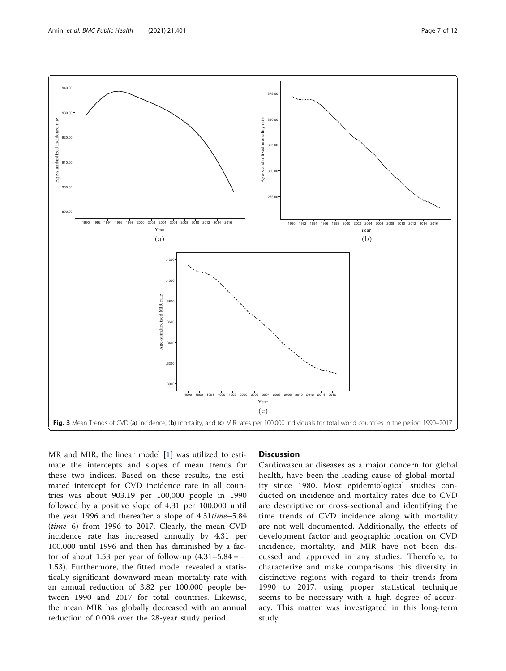<span id="page-6-0"></span>

MR and MIR, the linear model [[1](#page-10-0)] was utilized to estimate the intercepts and slopes of mean trends for these two indices. Based on these results, the estimated intercept for CVD incidence rate in all countries was about 903.19 per 100,000 people in 1990 followed by a positive slope of 4.31 per 100.000 until the year 1996 and thereafter a slope of 4.31time–5.84 (time–6) from 1996 to 2017. Clearly, the mean CVD incidence rate has increased annually by 4.31 per 100.000 until 1996 and then has diminished by a factor of about 1.53 per year of follow-up  $(4.31-5.84 = -$ 1.53). Furthermore, the fitted model revealed a statistically significant downward mean mortality rate with an annual reduction of 3.82 per 100,000 people between 1990 and 2017 for total countries. Likewise, the mean MIR has globally decreased with an annual reduction of 0.004 over the 28-year study period.

## **Discussion**

Cardiovascular diseases as a major concern for global health, have been the leading cause of global mortality since 1980. Most epidemiological studies conducted on incidence and mortality rates due to CVD are descriptive or cross-sectional and identifying the time trends of CVD incidence along with mortality are not well documented. Additionally, the effects of development factor and geographic location on CVD incidence, mortality, and MIR have not been discussed and approved in any studies. Therefore, to characterize and make comparisons this diversity in distinctive regions with regard to their trends from 1990 to 2017, using proper statistical technique seems to be necessary with a high degree of accuracy. This matter was investigated in this long-term study.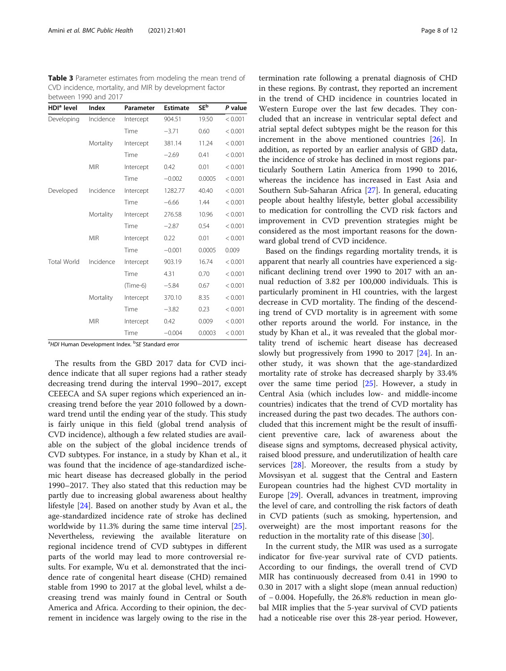<span id="page-7-0"></span>Table 3 Parameter estimates from modeling the mean trend of CVD incidence, mortality, and MIR by development factor between 1990 and 2017

| HDI <sup>ª</sup> level | Index      | Parameter | <b>Estimate</b> | <b>SE</b> b | P value |
|------------------------|------------|-----------|-----------------|-------------|---------|
| Developing             | Incidence  | Intercept | 904.51          | 19.50       | < 0.001 |
|                        |            | Time      | $-3.71$         | 0.60        | < 0.001 |
|                        | Mortality  | Intercept | 381.14          | 11.24       | < 0.001 |
|                        |            | Time      | $-2.69$         | 0.41        | < 0.001 |
|                        | <b>MIR</b> | Intercept | 0.42            | 0.01        | < 0.001 |
|                        |            | Time      | $-0.002$        | 0.0005      | < 0.001 |
| Developed              | Incidence  | Intercept | 1282.77         | 40.40       | < 0.001 |
|                        |            | Time      | $-6.66$         | 1.44        | < 0.001 |
|                        | Mortality  | Intercept | 276.58          | 10.96       | < 0.001 |
|                        |            | Time      | $-2.87$         | 0.54        | < 0.001 |
|                        | <b>MIR</b> | Intercept | 0.22            | 0.01        | < 0.001 |
|                        |            | Time      | $-0.001$        | 0.0005      | 0.009   |
| <b>Total World</b>     | Incidence  | Intercept | 903.19          | 16.74       | < 0.001 |
|                        |            | Time      | 4.31            | 0.70        | < 0.001 |
|                        |            | (Time-6)  | $-5.84$         | 0.67        | < 0.001 |
|                        | Mortality  | Intercept | 370.10          | 8.35        | < 0.001 |
|                        |            | Time      | $-3.82$         | 0.23        | < 0.001 |
|                        | <b>MIR</b> | Intercept | 0.42            | 0.009       | < 0.001 |
|                        |            | Time      | $-0.004$        | 0.0003      | < 0.001 |

<sup>a</sup>HDI Human Development Index. <sup>b</sup>SE Standard error

The results from the GBD 2017 data for CVD incidence indicate that all super regions had a rather steady decreasing trend during the interval 1990–2017, except CEEECA and SA super regions which experienced an increasing trend before the year 2010 followed by a downward trend until the ending year of the study. This study is fairly unique in this field (global trend analysis of CVD incidence), although a few related studies are available on the subject of the global incidence trends of CVD subtypes. For instance, in a study by Khan et al., it was found that the incidence of age-standardized ischemic heart disease has decreased globally in the period 1990–2017. They also stated that this reduction may be partly due to increasing global awareness about healthy lifestyle [\[24\]](#page-10-0). Based on another study by Avan et al., the age-standardized incidence rate of stroke has declined worldwide by 11.3% during the same time interval [\[25](#page-10-0)]. Nevertheless, reviewing the available literature on regional incidence trend of CVD subtypes in different parts of the world may lead to more controversial results. For example, Wu et al. demonstrated that the incidence rate of congenital heart disease (CHD) remained stable from 1990 to 2017 at the global level, whilst a decreasing trend was mainly found in Central or South America and Africa. According to their opinion, the decrement in incidence was largely owing to the rise in the

termination rate following a prenatal diagnosis of CHD in these regions. By contrast, they reported an increment in the trend of CHD incidence in countries located in Western Europe over the last few decades. They concluded that an increase in ventricular septal defect and atrial septal defect subtypes might be the reason for this increment in the above mentioned countries [\[26\]](#page-10-0). In addition, as reported by an earlier analysis of GBD data, the incidence of stroke has declined in most regions particularly Southern Latin America from 1990 to 2016, whereas the incidence has increased in East Asia and Southern Sub-Saharan Africa [[27](#page-10-0)]. In general, educating people about healthy lifestyle, better global accessibility to medication for controlling the CVD risk factors and improvement in CVD prevention strategies might be considered as the most important reasons for the downward global trend of CVD incidence.

Based on the findings regarding mortality trends, it is apparent that nearly all countries have experienced a significant declining trend over 1990 to 2017 with an annual reduction of 3.82 per 100,000 individuals. This is particularly prominent in HI countries, with the largest decrease in CVD mortality. The finding of the descending trend of CVD mortality is in agreement with some other reports around the world. For instance, in the study by Khan et al., it was revealed that the global mortality trend of ischemic heart disease has decreased slowly but progressively from 1990 to 2017 [[24\]](#page-10-0). In another study, it was shown that the age-standardized mortality rate of stroke has decreased sharply by 33.4% over the same time period [[25\]](#page-10-0). However, a study in Central Asia (which includes low- and middle-income countries) indicates that the trend of CVD mortality has increased during the past two decades. The authors concluded that this increment might be the result of insufficient preventive care, lack of awareness about the disease signs and symptoms, decreased physical activity, raised blood pressure, and underutilization of health care services [\[28](#page-10-0)]. Moreover, the results from a study by Movsisyan et al. suggest that the Central and Eastern European countries had the highest CVD mortality in Europe [\[29](#page-10-0)]. Overall, advances in treatment, improving the level of care, and controlling the risk factors of death in CVD patients (such as smoking, hypertension, and overweight) are the most important reasons for the reduction in the mortality rate of this disease [[30\]](#page-10-0).

In the current study, the MIR was used as a surrogate indicator for five-year survival rate of CVD patients. According to our findings, the overall trend of CVD MIR has continuously decreased from 0.41 in 1990 to 0.30 in 2017 with a slight slope (mean annual reduction) of − 0.004. Hopefully, the 26.8% reduction in mean global MIR implies that the 5-year survival of CVD patients had a noticeable rise over this 28-year period. However,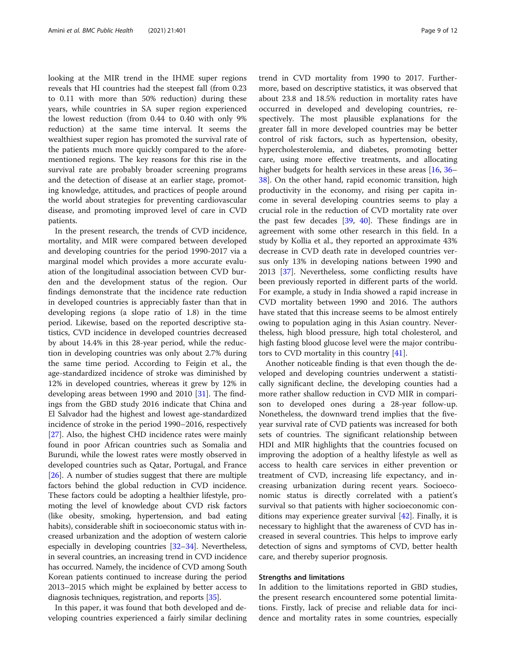looking at the MIR trend in the IHME super regions reveals that HI countries had the steepest fall (from 0.23 to 0.11 with more than 50% reduction) during these years, while countries in SA super region experienced the lowest reduction (from 0.44 to 0.40 with only 9% reduction) at the same time interval. It seems the wealthiest super region has promoted the survival rate of the patients much more quickly compared to the aforementioned regions. The key reasons for this rise in the survival rate are probably broader screening programs and the detection of disease at an earlier stage, promoting knowledge, attitudes, and practices of people around the world about strategies for preventing cardiovascular disease, and promoting improved level of care in CVD patients.

In the present research, the trends of CVD incidence, mortality, and MIR were compared between developed and developing countries for the period 1990-2017 via a marginal model which provides a more accurate evaluation of the longitudinal association between CVD burden and the development status of the region. Our findings demonstrate that the incidence rate reduction in developed countries is appreciably faster than that in developing regions (a slope ratio of 1.8) in the time period. Likewise, based on the reported descriptive statistics, CVD incidence in developed countries decreased by about 14.4% in this 28-year period, while the reduction in developing countries was only about 2.7% during the same time period. According to Feigin et al., the age-standardized incidence of stroke was diminished by 12% in developed countries, whereas it grew by 12% in developing areas between 1990 and 2010 [[31\]](#page-10-0). The findings from the GBD study 2016 indicate that China and El Salvador had the highest and lowest age-standardized incidence of stroke in the period 1990–2016, respectively [[27\]](#page-10-0). Also, the highest CHD incidence rates were mainly found in poor African countries such as Somalia and Burundi, while the lowest rates were mostly observed in developed countries such as Qatar, Portugal, and France [[26\]](#page-10-0). A number of studies suggest that there are multiple factors behind the global reduction in CVD incidence. These factors could be adopting a healthier lifestyle, promoting the level of knowledge about CVD risk factors (like obesity, smoking, hypertension, and bad eating habits), considerable shift in socioeconomic status with increased urbanization and the adoption of western calorie especially in developing countries [\[32](#page-10-0)–[34](#page-10-0)]. Nevertheless, in several countries, an increasing trend in CVD incidence has occurred. Namely, the incidence of CVD among South Korean patients continued to increase during the period 2013–2015 which might be explained by better access to diagnosis techniques, registration, and reports [[35](#page-11-0)].

In this paper, it was found that both developed and developing countries experienced a fairly similar declining trend in CVD mortality from 1990 to 2017. Furthermore, based on descriptive statistics, it was observed that about 23.8 and 18.5% reduction in mortality rates have occurred in developed and developing countries, respectively. The most plausible explanations for the greater fall in more developed countries may be better control of risk factors, such as hypertension, obesity, hypercholesterolemia, and diabetes, promoting better care, using more effective treatments, and allocating higher budgets for health services in these areas [[16,](#page-10-0) [36](#page-11-0)– [38\]](#page-11-0). On the other hand, rapid economic transition, high productivity in the economy, and rising per capita income in several developing countries seems to play a crucial role in the reduction of CVD mortality rate over the past few decades  $[39, 40]$  $[39, 40]$  $[39, 40]$  $[39, 40]$  $[39, 40]$ . These findings are in agreement with some other research in this field. In a study by Kollia et al., they reported an approximate 43% decrease in CVD death rate in developed countries versus only 13% in developing nations between 1990 and 2013 [[37\]](#page-11-0). Nevertheless, some conflicting results have been previously reported in different parts of the world. For example, a study in India showed a rapid increase in CVD mortality between 1990 and 2016. The authors have stated that this increase seems to be almost entirely owing to population aging in this Asian country. Nevertheless, high blood pressure, high total cholesterol, and high fasting blood glucose level were the major contributors to CVD mortality in this country [[41](#page-11-0)].

Another noticeable finding is that even though the developed and developing countries underwent a statistically significant decline, the developing counties had a more rather shallow reduction in CVD MIR in comparison to developed ones during a 28-year follow-up. Nonetheless, the downward trend implies that the fiveyear survival rate of CVD patients was increased for both sets of countries. The significant relationship between HDI and MIR highlights that the countries focused on improving the adoption of a healthy lifestyle as well as access to health care services in either prevention or treatment of CVD, increasing life expectancy, and increasing urbanization during recent years. Socioeconomic status is directly correlated with a patient's survival so that patients with higher socioeconomic conditions may experience greater survival  $[42]$  $[42]$ . Finally, it is necessary to highlight that the awareness of CVD has increased in several countries. This helps to improve early detection of signs and symptoms of CVD, better health care, and thereby superior prognosis.

### Strengths and limitations

In addition to the limitations reported in GBD studies, the present research encountered some potential limitations. Firstly, lack of precise and reliable data for incidence and mortality rates in some countries, especially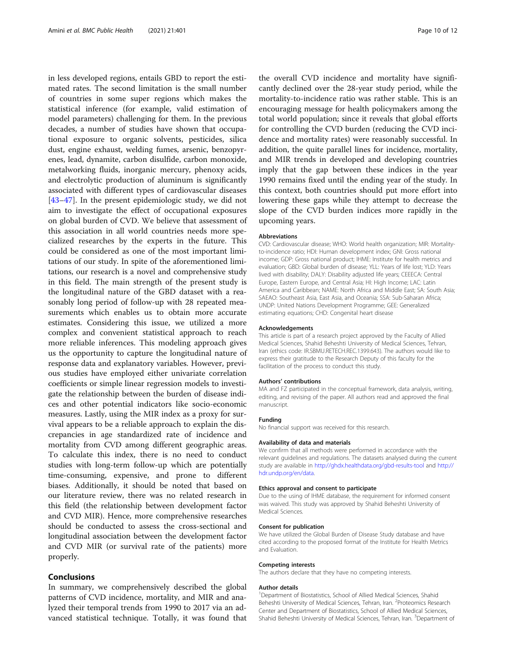in less developed regions, entails GBD to report the estimated rates. The second limitation is the small number of countries in some super regions which makes the statistical inference (for example, valid estimation of model parameters) challenging for them. In the previous decades, a number of studies have shown that occupational exposure to organic solvents, pesticides, silica dust, engine exhaust, welding fumes, arsenic, benzopyrenes, lead, dynamite, carbon disulfide, carbon monoxide, metalworking fluids, inorganic mercury, phenoxy acids, and electrolytic production of aluminum is significantly associated with different types of cardiovascular diseases [[43](#page-11-0)–[47](#page-11-0)]. In the present epidemiologic study, we did not aim to investigate the effect of occupational exposures on global burden of CVD. We believe that assessment of this association in all world countries needs more specialized researches by the experts in the future. This could be considered as one of the most important limitations of our study. In spite of the aforementioned limitations, our research is a novel and comprehensive study in this field. The main strength of the present study is the longitudinal nature of the GBD dataset with a reasonably long period of follow-up with 28 repeated measurements which enables us to obtain more accurate estimates. Considering this issue, we utilized a more complex and convenient statistical approach to reach more reliable inferences. This modeling approach gives us the opportunity to capture the longitudinal nature of response data and explanatory variables. However, previous studies have employed either univariate correlation coefficients or simple linear regression models to investigate the relationship between the burden of disease indices and other potential indicators like socio-economic measures. Lastly, using the MIR index as a proxy for survival appears to be a reliable approach to explain the discrepancies in age standardized rate of incidence and mortality from CVD among different geographic areas. To calculate this index, there is no need to conduct studies with long-term follow-up which are potentially time-consuming, expensive, and prone to different biases. Additionally, it should be noted that based on our literature review, there was no related research in this field (the relationship between development factor and CVD MIR). Hence, more comprehensive researches should be conducted to assess the cross-sectional and longitudinal association between the development factor and CVD MIR (or survival rate of the patients) more properly.

# Conclusions

In summary, we comprehensively described the global patterns of CVD incidence, mortality, and MIR and analyzed their temporal trends from 1990 to 2017 via an advanced statistical technique. Totally, it was found that

the overall CVD incidence and mortality have significantly declined over the 28-year study period, while the mortality-to-incidence ratio was rather stable. This is an encouraging message for health policymakers among the total world population; since it reveals that global efforts for controlling the CVD burden (reducing the CVD incidence and mortality rates) were reasonably successful. In addition, the quite parallel lines for incidence, mortality, and MIR trends in developed and developing countries imply that the gap between these indices in the year 1990 remains fixed until the ending year of the study. In this context, both countries should put more effort into lowering these gaps while they attempt to decrease the slope of the CVD burden indices more rapidly in the upcoming years.

### Abbreviations

CVD: Cardiovascular disease; WHO: World health organization; MIR: Mortalityto-incidence ratio; HDI: Human development index; GNI: Gross national income; GDP: Gross national product; IHME: Institute for health metrics and evaluation; GBD: Global burden of disease; YLL: Years of life lost; YLD: Years lived with disability; DALY: Disability adjusted life years; CEEECA: Central Europe, Eastern Europe, and Central Asia; HI: High Income; LAC: Latin America and Caribbean; NAME: North Africa and Middle East; SA: South Asia; SAEAO: Southeast Asia, East Asia, and Oceania; SSA: Sub-Saharan Africa; UNDP: United Nations Development Programme; GEE: Generalized estimating equations; CHD: Congenital heart disease

### Acknowledgements

This article is part of a research project approved by the Faculty of Allied Medical Sciences, Shahid Beheshti University of Medical Sciences, Tehran, Iran (ethics code: IR.SBMU.RETECH.REC.1399.643). The authors would like to express their gratitude to the Research Deputy of this faculty for the facilitation of the process to conduct this study.

#### Authors' contributions

MA and FZ participated in the conceptual framework, data analysis, writing, editing, and revising of the paper. All authors read and approved the final manuscript.

#### Funding

No financial support was received for this research.

#### Availability of data and materials

We confirm that all methods were performed in accordance with the relevant guidelines and regulations. The datasets analysed during the current study are available in <http://ghdx.healthdata.org/gbd-results-tool> and [http://](http://hdr.undp.org/en/data) [hdr.undp.org/en/data.](http://hdr.undp.org/en/data)

#### Ethics approval and consent to participate

Due to the using of IHME database, the requirement for informed consent was waived. This study was approved by Shahid Beheshti University of Medical Sciences.

#### Consent for publication

We have utilized the Global Burden of Disease Study database and have cited according to the proposed format of the Institute for Health Metrics and Evaluation.

### Competing interests

The authors declare that they have no competing interests.

### Author details

<sup>1</sup>Department of Biostatistics, School of Allied Medical Sciences, Shahid Beheshti University of Medical Sciences, Tehran, Iran. <sup>2</sup>Proteomics Research Center and Department of Biostatistics, School of Allied Medical Sciences, Shahid Beheshti University of Medical Sciences, Tehran, Iran. <sup>3</sup>Department of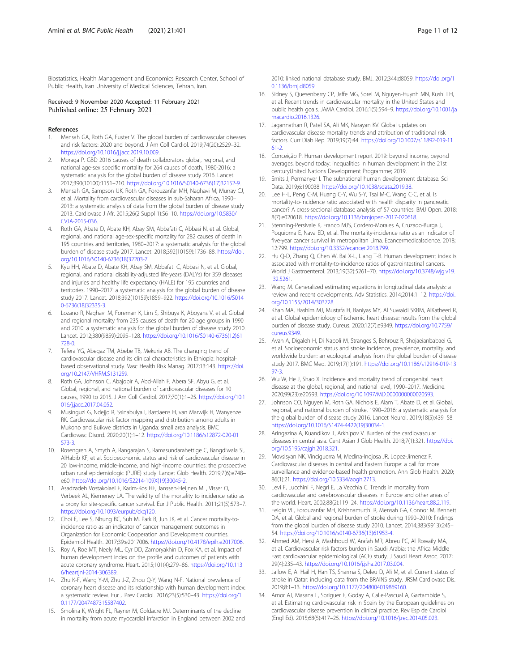<span id="page-10-0"></span>Biostatistics, Health Management and Economics Research Center, School of Public Health, Iran University of Medical Sciences, Tehran, Iran.

### Received: 9 November 2020 Accepted: 11 February 2021 Published online: 25 February 2021

#### References

- 1. Mensah GA, Roth GA, Fuster V. The global burden of cardiovascular diseases and risk factors: 2020 and beyond. J Am Coll Cardiol. 2019;74(20):2529–32. [https://doi.org/10.1016/j.jacc.2019.10.009.](https://doi.org/10.1016/j.jacc.2019.10.009)
- 2. Moraga P. GBD 2016 causes of death collaborators global, regional, and national age-sex specific mortality for 264 causes of death, 1980-2016: a systematic analysis for the global burden of disease study 2016. Lancet. 2017;390(10100):1151–210. [https://doi.org/10.1016/S0140-6736\(17\)32152-9](https://doi.org/10.1016/S0140-6736(17)32152-9).
- 3. Mensah GA, Sampson UK, Roth GA, Forouzanfar MH, Naghavi M, Murray CJ, et al. Mortality from cardiovascular diseases in sub-Saharan Africa, 1990– 2013: a systematic analysis of data from the global burden of disease study 2013. Cardiovasc J Afr. 2015;26(2 Suppl 1):S6–10. [https://doi.org/10.5830/](https://doi.org/10.5830/CVJA-2015-036) [CVJA-2015-036.](https://doi.org/10.5830/CVJA-2015-036)
- Roth GA, Abate D, Abate KH, Abay SM, Abbafati C, Abbasi N, et al. Global, regional, and national age-sex-specific mortality for 282 causes of death in 195 countries and territories, 1980–2017: a systematic analysis for the global burden of disease study 2017. Lancet. 2018;392(10159):1736–88. [https://doi.](https://doi.org/10.1016/S0140-6736(18)32203-7) [org/10.1016/S0140-6736\(18\)32203-7.](https://doi.org/10.1016/S0140-6736(18)32203-7)
- Kyu HH, Abate D, Abate KH, Abay SM, Abbafati C, Abbasi N, et al. Global, regional, and national disability-adjusted life-years (DALYs) for 359 diseases and injuries and healthy life expectancy (HALE) for 195 countries and territories, 1990–2017: a systematic analysis for the global burden of disease study 2017. Lancet. 2018;392(10159):1859–922. [https://doi.org/10.1016/S014](https://doi.org/10.1016/S0140-6736(18)32335-3) [0-6736\(18\)32335-3.](https://doi.org/10.1016/S0140-6736(18)32335-3)
- Lozano R, Naghavi M, Foreman K, Lim S, Shibuya K, Aboyans V, et al. Global and regional mortality from 235 causes of death for 20 age groups in 1990 and 2010: a systematic analysis for the global burden of disease study 2010. Lancet. 2012;380(9859):2095–128. [https://doi.org/10.1016/S0140-6736\(12\)61](https://doi.org/10.1016/S0140-6736(12)61728-0) [728-0](https://doi.org/10.1016/S0140-6736(12)61728-0).
- 7. Tefera YG, Abegaz TM, Abebe TB, Mekuria AB. The changing trend of cardiovascular disease and its clinical characteristics in Ethiopia: hospitalbased observational study. Vasc Health Risk Manag. 2017;13:143. [https://doi.](https://doi.org/10.2147/VHRM.S131259) [org/10.2147/VHRM.S131259.](https://doi.org/10.2147/VHRM.S131259)
- Roth GA, Johnson C, Abajobir A, Abd-Allah F, Abera SF, Abyu G, et al. Global, regional, and national burden of cardiovascular diseases for 10 causes, 1990 to 2015. J Am Coll Cardiol. 2017;70(1):1–25. [https://doi.org/10.1](https://doi.org/10.1016/j.jacc.2017.04.052) [016/j.jacc.2017.04.052](https://doi.org/10.1016/j.jacc.2017.04.052).
- 9. Musinguzi G, Ndejjo R, Ssinabulya I, Bastiaens H, van Marwijk H, Wanyenze RK. Cardiovascular risk factor mapping and distribution among adults in Mukono and Buikwe districts in Uganda: small area analysis. BMC Cardiovasc Disord. 2020;20(1):1–12. [https://doi.org/10.1186/s12872-020-01](https://doi.org/10.1186/s12872-020-01573-3) [573-3](https://doi.org/10.1186/s12872-020-01573-3).
- 10. Rosengren A, Smyth A, Rangarajan S, Ramasundarahettige C, Bangdiwala SI, AlHabib KF, et al. Socioeconomic status and risk of cardiovascular disease in 20 low-income, middle-income, and high-income countries: the prospective urban rural epidemiologic (PURE) study. Lancet Glob Health. 2019;7(6):e748– e60. [https://doi.org/10.1016/S2214-109X\(19\)30045-2.](https://doi.org/10.1016/S2214-109X(19)30045-2)
- 11. Asadzadeh Vostakolaei F, Karim-Kos HE, Janssen-Heijnen ML, Visser O, Verbeek AL, Kiemeney LA. The validity of the mortality to incidence ratio as a proxy for site-specific cancer survival. Eur J Public Health. 2011;21(5):573–7. <https://doi.org/10.1093/eurpub/ckq120>.
- 12. Choi E, Lee S, Nhung BC, Suh M, Park B, Jun JK, et al. Cancer mortality-toincidence ratio as an indicator of cancer management outcomes in Organization for Economic Cooperation and Development countries. Epidemiol Health. 2017;39:e2017006. [https://doi.org/10.4178/epih.e2017006.](https://doi.org/10.4178/epih.e2017006)
- 13. Roy A, Roe MT, Neely ML, Cyr DD, Zamoryakhin D, Fox KA, et al. Impact of human development index on the profile and outcomes of patients with acute coronary syndrome. Heart. 2015;101(4):279–86. [https://doi.org/10.113](https://doi.org/10.1136/heartjnl-2014-306389) [6/heartjnl-2014-306389](https://doi.org/10.1136/heartjnl-2014-306389).
- 14. Zhu K-F, Wang Y-M, Zhu J-Z, Zhou Q-Y, Wang N-F. National prevalence of coronary heart disease and its relationship with human development index: a systematic review. Eur J Prev Cardiol. 2016;23(5):530–43. [https://doi.org/1](https://doi.org/10.1177/2047487315587402) [0.1177/2047487315587402](https://doi.org/10.1177/2047487315587402).
- 15. Smolina K, Wright FL, Rayner M, Goldacre MJ. Determinants of the decline in mortality from acute myocardial infarction in England between 2002 and

2010: linked national database study. BMJ. 2012;344:d8059. [https://doi.org/1](https://doi.org/10.1136/bmj.d8059) [0.1136/bmj.d8059](https://doi.org/10.1136/bmj.d8059).

- 16. Sidney S, Quesenberry CP, Jaffe MG, Sorel M, Nguyen-Huynh MN, Kushi LH, et al. Recent trends in cardiovascular mortality in the United States and public health goals. JAMA Cardiol. 2016;1(5):594–9. [https://doi.org/10.1001/ja](https://doi.org/10.1001/jamacardio.2016.1326) [macardio.2016.1326.](https://doi.org/10.1001/jamacardio.2016.1326)
- 17. Jagannathan R, Patel SA, Ali MK, Narayan KV. Global updates on cardiovascular disease mortality trends and attribution of traditional risk factors. Curr Diab Rep. 2019;19(7):44. [https://doi.org/10.1007/s11892-019-11](https://doi.org/10.1007/s11892-019-1161-2) [61-2](https://doi.org/10.1007/s11892-019-1161-2).
- 18. Conceição P. Human development report 2019: beyond income, beyond averages, beyond today: inequalities in human development in the 21st centuryUnited Nations Development Programme; 2019.
- 19. Smits J, Permanyer I. The subnational human development database. Sci Data. 2019;6:190038. <https://doi.org/10.1038/sdata.2019.38>.
- 20. Lee H-L, Peng C-M, Huang C-Y, Wu S-Y, Tsai M-C, Wang C-C, et al. Is mortality-to-incidence ratio associated with health disparity in pancreatic cancer? A cross-sectional database analysis of 57 countries. BMJ Open. 2018; 8(7):e020618. <https://doi.org/10.1136/bmjopen-2017-020618>.
- 21. Stenning-Persivale K, Franco MJS, Cordero-Morales A, Cruzado-Burga J, Poquioma E, Nava ED, et al. The mortality-incidence ratio as an indicator of five-year cancer survival in metropolitan Lima. Ecancermedicalscience. 2018; 12:799. [https://doi.org/10.3332/ecancer.2018.799.](https://doi.org/10.3332/ecancer.2018.799)
- 22. Hu Q-D, Zhang Q, Chen W, Bai X-L, Liang T-B. Human development index is associated with mortality-to-incidence ratios of gastrointestinal cancers. World J Gastroenterol. 2013;19(32):5261–70. [https://doi.org/10.3748/wjg.v19.](https://doi.org/10.3748/wjg.v19.i32.5261) [i32.5261.](https://doi.org/10.3748/wjg.v19.i32.5261)
- 23. Wang M. Generalized estimating equations in longitudinal data analysis: a review and recent developments. Adv Statistics. 2014;2014:1–12. [https://doi.](https://doi.org/10.1155/2014/303728) [org/10.1155/2014/303728.](https://doi.org/10.1155/2014/303728)
- 24. Khan MA, Hashim MJ, Mustafa H, Baniyas MY, Al Suwaidi SKBM, AlKatheeri R, et al. Global epidemiology of ischemic heart disease: results from the global burden of disease study. Cureus. 2020;12(7):e9349. [https://doi.org/10.7759/](https://doi.org/10.7759/cureus.9349) [cureus.9349](https://doi.org/10.7759/cureus.9349).
- 25. Avan A, Digaleh H, Di Napoli M, Stranges S, Behrouz R, Shojaeianbabaei G, et al. Socioeconomic status and stroke incidence, prevalence, mortality, and worldwide burden: an ecological analysis from the global burden of disease study 2017. BMC Med. 2019;17(1):191. [https://doi.org/10.1186/s12916-019-13](https://doi.org/10.1186/s12916-019-1397-3) [97-3](https://doi.org/10.1186/s12916-019-1397-3).
- 26. Wu W, He J, Shao X. Incidence and mortality trend of congenital heart disease at the global, regional, and national level, 1990–2017. Medicine. 2020;99(23):e20593. <https://doi.org/10.1097/MD.0000000000020593>.
- 27. Johnson CO, Nguyen M, Roth GA, Nichols E, Alam T, Abate D, et al. Global, regional, and national burden of stroke, 1990–2016: a systematic analysis for the global burden of disease study 2016. Lancet Neurol. 2019;18(5):439–58. [https://doi.org/10.1016/S1474-4422\(19\)30034-1.](https://doi.org/10.1016/S1474-4422(19)30034-1)
- 28. Aringazina A, Kuandikov T, Arkhipov V. Burden of the cardiovascular diseases in central asia. Cent Asian J Glob Health. 2018;7(1):321. [https://doi.](https://doi.org/10.5195/cajgh.2018.321) [org/10.5195/cajgh.2018.321.](https://doi.org/10.5195/cajgh.2018.321)
- 29. Movsisyan NK, Vinciguerra M, Medina-Inojosa JR, Lopez-Jimenez F. Cardiovascular diseases in central and Eastern Europe: a call for more surveillance and evidence-based health promotion. Ann Glob Health. 2020; 86(1):21. [https://doi.org/10.5334/aogh.2713.](https://doi.org/10.5334/aogh.2713)
- 30. Levi F, Lucchini F, Negri E, La Vecchia C. Trends in mortality from cardiovascular and cerebrovascular diseases in Europe and other areas of the world. Heart. 2002;88(2):119–24. <https://doi.org/10.1136/heart.88.2.119>.
- 31. Feigin VL, Forouzanfar MH, Krishnamurthi R, Mensah GA, Connor M, Bennett DA, et al. Global and regional burden of stroke during 1990–2010: findings from the global burden of disease study 2010. Lancet. 2014;383(9913):245– 54. [https://doi.org/10.1016/s0140-6736\(13\)61953-4](https://doi.org/10.1016/s0140-6736(13)61953-4).
- 32. Ahmed AM, Hersi A, Mashhoud W, Arafah MR, Abreu PC, Al Rowaily MA, et al. Cardiovascular risk factors burden in Saudi Arabia: the Africa Middle East cardiovascular epidemiological (ACE) study. J Saudi Heart Assoc. 2017; 29(4):235–43. <https://doi.org/10.1016/j.jsha.2017.03.004>.
- 33. Jallow E, Al Hail H, Han TS, Sharma S, Deleu D, Ali M, et al. Current status of stroke in Qatar: including data from the BRAINS study. JRSM Cardiovasc Dis. 2019;8:1–13. <https://doi.org/10.1177/2048004019869160>.
- 34. Amor AJ, Masana L, Soriguer F, Goday A, Calle-Pascual A, Gaztambide S, et al. Estimating cardiovascular risk in Spain by the European guidelines on cardiovascular disease prevention in clinical practice. Rev Esp de Cardiol (Engl Ed). 2015;68(5):417–25. <https://doi.org/10.1016/j.rec.2014.05.023>.